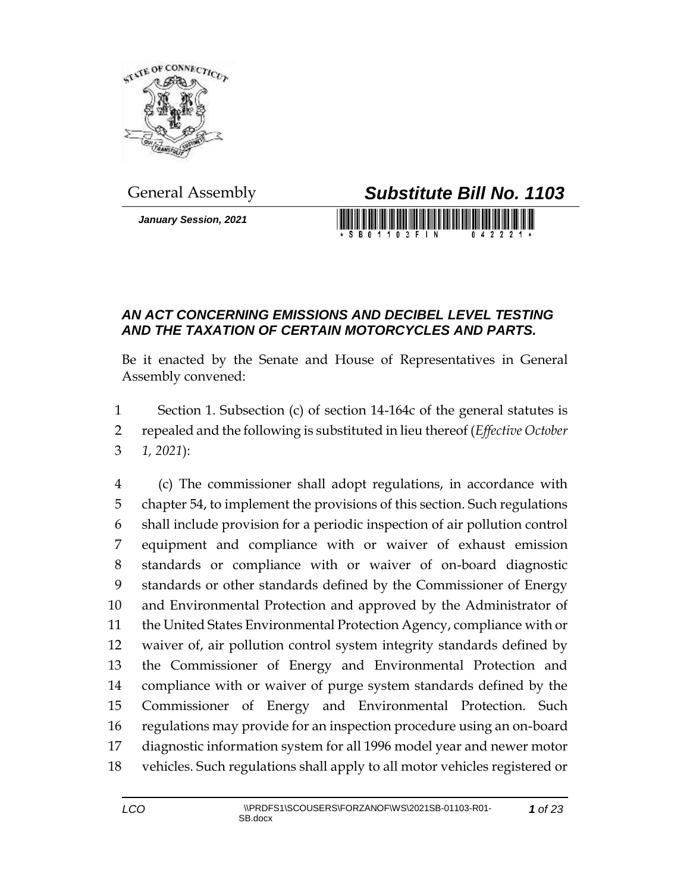

*January Session, 2021*

## General Assembly *Substitute Bill No. 1103*

S B 0 1 1 0 3 F I N

## *AN ACT CONCERNING EMISSIONS AND DECIBEL LEVEL TESTING AND THE TAXATION OF CERTAIN MOTORCYCLES AND PARTS.*

Be it enacted by the Senate and House of Representatives in General Assembly convened:

 Section 1. Subsection (c) of section 14-164c of the general statutes is repealed and the following is substituted in lieu thereof (*Effective October 1, 2021*):

 (c) The commissioner shall adopt regulations, in accordance with chapter 54, to implement the provisions of this section. Such regulations shall include provision for a periodic inspection of air pollution control equipment and compliance with or waiver of exhaust emission standards or compliance with or waiver of on-board diagnostic standards or other standards defined by the Commissioner of Energy and Environmental Protection and approved by the Administrator of the United States Environmental Protection Agency, compliance with or waiver of, air pollution control system integrity standards defined by the Commissioner of Energy and Environmental Protection and compliance with or waiver of purge system standards defined by the Commissioner of Energy and Environmental Protection. Such regulations may provide for an inspection procedure using an on-board diagnostic information system for all 1996 model year and newer motor vehicles. Such regulations shall apply to all motor vehicles registered or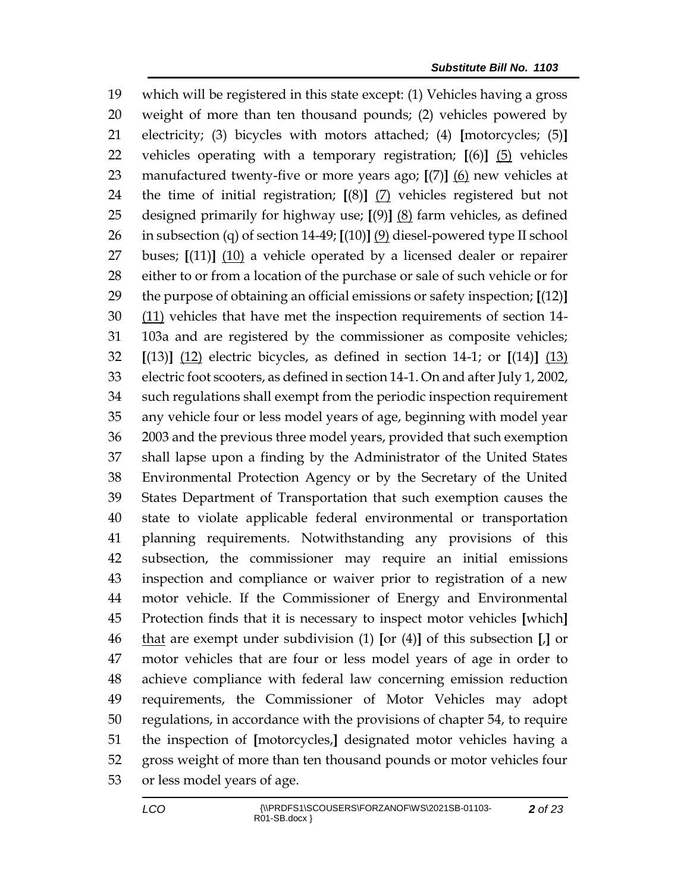which will be registered in this state except: (1) Vehicles having a gross weight of more than ten thousand pounds; (2) vehicles powered by electricity; (3) bicycles with motors attached; (4) **[**motorcycles; (5)**]** vehicles operating with a temporary registration; **[**(6)**]** (5) vehicles manufactured twenty-five or more years ago; **[**(7)**]** (6) new vehicles at the time of initial registration; **[**(8)**]** (7) vehicles registered but not designed primarily for highway use; **[**(9)**]** (8) farm vehicles, as defined in subsection (q) of section 14-49; **[**(10)**]** (9) diesel-powered type II school buses; **[**(11)**]** (10) a vehicle operated by a licensed dealer or repairer either to or from a location of the purchase or sale of such vehicle or for the purpose of obtaining an official emissions or safety inspection; **[**(12)**]** (11) vehicles that have met the inspection requirements of section 14- 103a and are registered by the commissioner as composite vehicles; **[**(13)**]** (12) electric bicycles, as defined in section 14-1; or **[**(14)**]** (13) electric foot scooters, as defined in section 14-1. On and after July 1, 2002, such regulations shall exempt from the periodic inspection requirement any vehicle four or less model years of age, beginning with model year 2003 and the previous three model years, provided that such exemption shall lapse upon a finding by the Administrator of the United States Environmental Protection Agency or by the Secretary of the United States Department of Transportation that such exemption causes the state to violate applicable federal environmental or transportation planning requirements. Notwithstanding any provisions of this subsection, the commissioner may require an initial emissions inspection and compliance or waiver prior to registration of a new motor vehicle. If the Commissioner of Energy and Environmental Protection finds that it is necessary to inspect motor vehicles **[**which**]** that are exempt under subdivision (1) **[**or (4)**]** of this subsection **[**,**]** or motor vehicles that are four or less model years of age in order to achieve compliance with federal law concerning emission reduction requirements, the Commissioner of Motor Vehicles may adopt regulations, in accordance with the provisions of chapter 54, to require the inspection of **[**motorcycles,**]** designated motor vehicles having a gross weight of more than ten thousand pounds or motor vehicles four or less model years of age.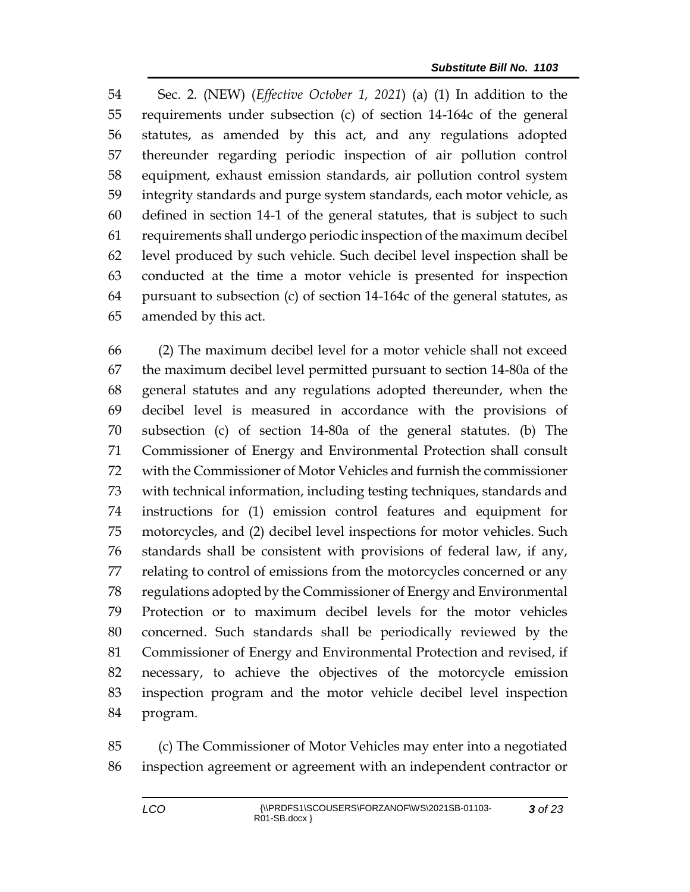Sec. 2. (NEW) (*Effective October 1, 2021*) (a) (1) In addition to the requirements under subsection (c) of section 14-164c of the general statutes, as amended by this act, and any regulations adopted thereunder regarding periodic inspection of air pollution control equipment, exhaust emission standards, air pollution control system integrity standards and purge system standards, each motor vehicle, as defined in section 14-1 of the general statutes, that is subject to such requirements shall undergo periodic inspection of the maximum decibel level produced by such vehicle. Such decibel level inspection shall be conducted at the time a motor vehicle is presented for inspection pursuant to subsection (c) of section 14-164c of the general statutes, as amended by this act.

 (2) The maximum decibel level for a motor vehicle shall not exceed the maximum decibel level permitted pursuant to section 14-80a of the general statutes and any regulations adopted thereunder, when the decibel level is measured in accordance with the provisions of subsection (c) of section 14-80a of the general statutes. (b) The Commissioner of Energy and Environmental Protection shall consult with the Commissioner of Motor Vehicles and furnish the commissioner with technical information, including testing techniques, standards and instructions for (1) emission control features and equipment for motorcycles, and (2) decibel level inspections for motor vehicles. Such standards shall be consistent with provisions of federal law, if any, relating to control of emissions from the motorcycles concerned or any regulations adopted by the Commissioner of Energy and Environmental Protection or to maximum decibel levels for the motor vehicles concerned. Such standards shall be periodically reviewed by the Commissioner of Energy and Environmental Protection and revised, if necessary, to achieve the objectives of the motorcycle emission inspection program and the motor vehicle decibel level inspection program.

 (c) The Commissioner of Motor Vehicles may enter into a negotiated inspection agreement or agreement with an independent contractor or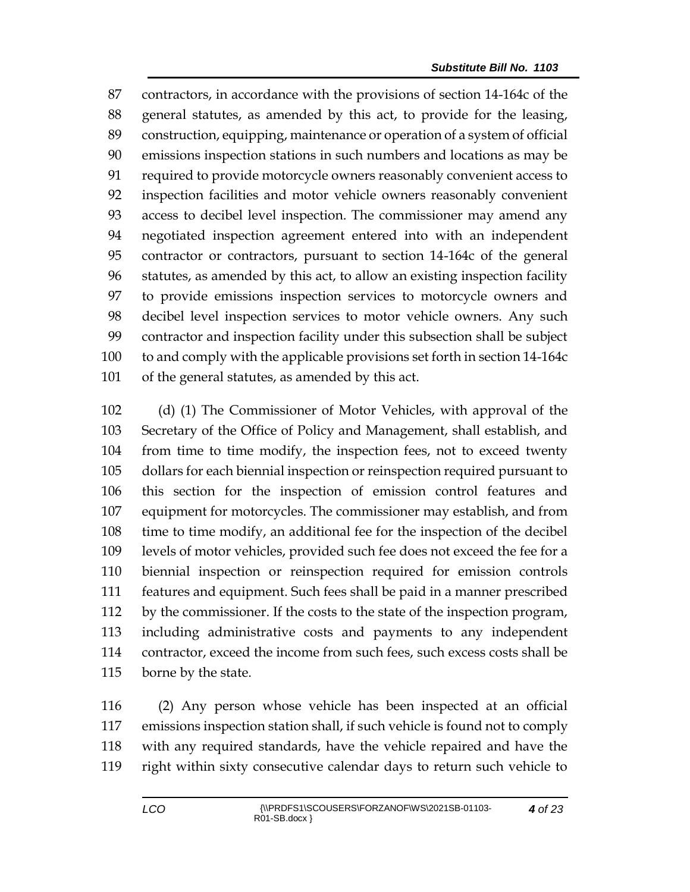contractors, in accordance with the provisions of section 14-164c of the general statutes, as amended by this act, to provide for the leasing, construction, equipping, maintenance or operation of a system of official emissions inspection stations in such numbers and locations as may be required to provide motorcycle owners reasonably convenient access to inspection facilities and motor vehicle owners reasonably convenient access to decibel level inspection. The commissioner may amend any negotiated inspection agreement entered into with an independent contractor or contractors, pursuant to section 14-164c of the general statutes, as amended by this act, to allow an existing inspection facility to provide emissions inspection services to motorcycle owners and decibel level inspection services to motor vehicle owners. Any such contractor and inspection facility under this subsection shall be subject to and comply with the applicable provisions set forth in section 14-164c of the general statutes, as amended by this act.

 (d) (1) The Commissioner of Motor Vehicles, with approval of the Secretary of the Office of Policy and Management, shall establish, and from time to time modify, the inspection fees, not to exceed twenty dollars for each biennial inspection or reinspection required pursuant to this section for the inspection of emission control features and equipment for motorcycles. The commissioner may establish, and from time to time modify, an additional fee for the inspection of the decibel levels of motor vehicles, provided such fee does not exceed the fee for a biennial inspection or reinspection required for emission controls features and equipment. Such fees shall be paid in a manner prescribed by the commissioner. If the costs to the state of the inspection program, including administrative costs and payments to any independent contractor, exceed the income from such fees, such excess costs shall be borne by the state.

 (2) Any person whose vehicle has been inspected at an official emissions inspection station shall, if such vehicle is found not to comply with any required standards, have the vehicle repaired and have the right within sixty consecutive calendar days to return such vehicle to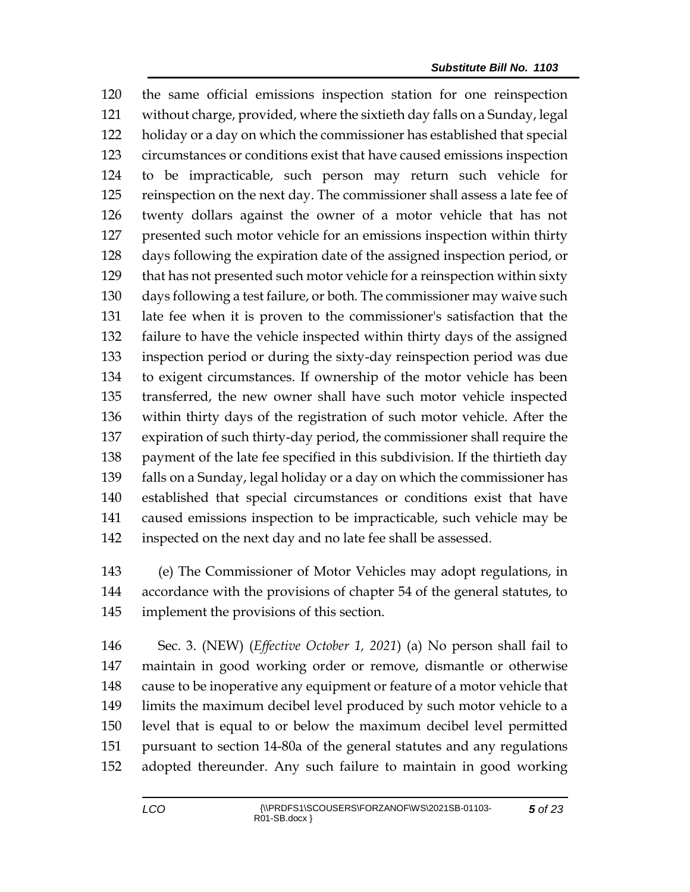the same official emissions inspection station for one reinspection without charge, provided, where the sixtieth day falls on a Sunday, legal holiday or a day on which the commissioner has established that special circumstances or conditions exist that have caused emissions inspection to be impracticable, such person may return such vehicle for reinspection on the next day. The commissioner shall assess a late fee of twenty dollars against the owner of a motor vehicle that has not presented such motor vehicle for an emissions inspection within thirty days following the expiration date of the assigned inspection period, or that has not presented such motor vehicle for a reinspection within sixty days following a test failure, or both. The commissioner may waive such late fee when it is proven to the commissioner's satisfaction that the failure to have the vehicle inspected within thirty days of the assigned inspection period or during the sixty-day reinspection period was due to exigent circumstances. If ownership of the motor vehicle has been transferred, the new owner shall have such motor vehicle inspected within thirty days of the registration of such motor vehicle. After the expiration of such thirty-day period, the commissioner shall require the payment of the late fee specified in this subdivision. If the thirtieth day falls on a Sunday, legal holiday or a day on which the commissioner has established that special circumstances or conditions exist that have caused emissions inspection to be impracticable, such vehicle may be inspected on the next day and no late fee shall be assessed.

 (e) The Commissioner of Motor Vehicles may adopt regulations, in accordance with the provisions of chapter 54 of the general statutes, to implement the provisions of this section.

 Sec. 3. (NEW) (*Effective October 1, 2021*) (a) No person shall fail to maintain in good working order or remove, dismantle or otherwise cause to be inoperative any equipment or feature of a motor vehicle that limits the maximum decibel level produced by such motor vehicle to a level that is equal to or below the maximum decibel level permitted pursuant to section 14-80a of the general statutes and any regulations adopted thereunder. Any such failure to maintain in good working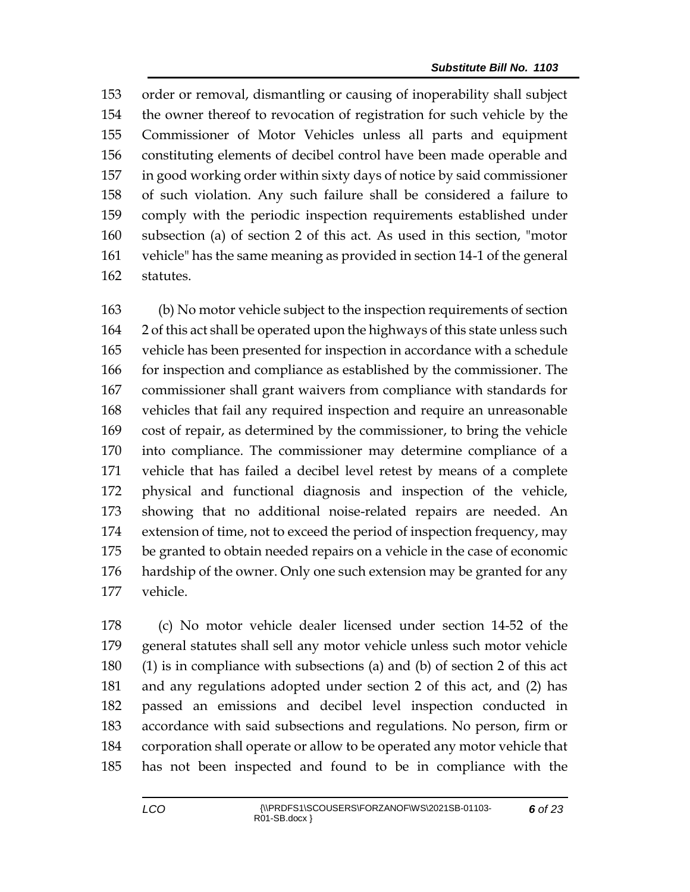order or removal, dismantling or causing of inoperability shall subject the owner thereof to revocation of registration for such vehicle by the Commissioner of Motor Vehicles unless all parts and equipment constituting elements of decibel control have been made operable and in good working order within sixty days of notice by said commissioner of such violation. Any such failure shall be considered a failure to comply with the periodic inspection requirements established under subsection (a) of section 2 of this act. As used in this section, "motor vehicle" has the same meaning as provided in section 14-1 of the general statutes.

 (b) No motor vehicle subject to the inspection requirements of section 2 of this act shall be operated upon the highways of this state unless such vehicle has been presented for inspection in accordance with a schedule for inspection and compliance as established by the commissioner. The commissioner shall grant waivers from compliance with standards for vehicles that fail any required inspection and require an unreasonable cost of repair, as determined by the commissioner, to bring the vehicle into compliance. The commissioner may determine compliance of a vehicle that has failed a decibel level retest by means of a complete physical and functional diagnosis and inspection of the vehicle, showing that no additional noise-related repairs are needed. An extension of time, not to exceed the period of inspection frequency, may be granted to obtain needed repairs on a vehicle in the case of economic hardship of the owner. Only one such extension may be granted for any vehicle.

 (c) No motor vehicle dealer licensed under section 14-52 of the general statutes shall sell any motor vehicle unless such motor vehicle (1) is in compliance with subsections (a) and (b) of section 2 of this act and any regulations adopted under section 2 of this act, and (2) has passed an emissions and decibel level inspection conducted in accordance with said subsections and regulations. No person, firm or corporation shall operate or allow to be operated any motor vehicle that has not been inspected and found to be in compliance with the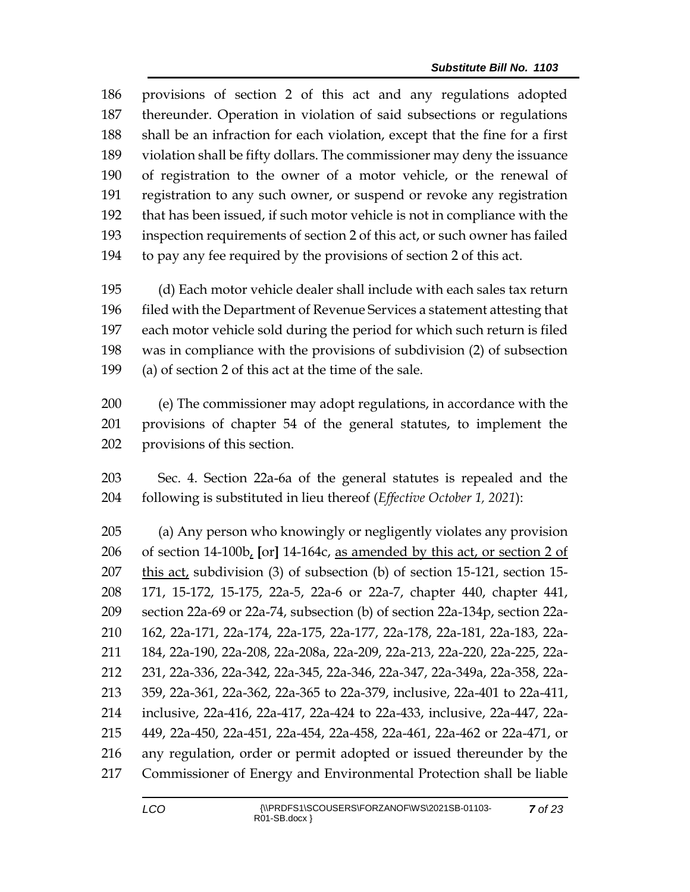provisions of section 2 of this act and any regulations adopted thereunder. Operation in violation of said subsections or regulations shall be an infraction for each violation, except that the fine for a first violation shall be fifty dollars. The commissioner may deny the issuance of registration to the owner of a motor vehicle, or the renewal of registration to any such owner, or suspend or revoke any registration that has been issued, if such motor vehicle is not in compliance with the inspection requirements of section 2 of this act, or such owner has failed to pay any fee required by the provisions of section 2 of this act.

 (d) Each motor vehicle dealer shall include with each sales tax return filed with the Department of Revenue Services a statement attesting that each motor vehicle sold during the period for which such return is filed was in compliance with the provisions of subdivision (2) of subsection (a) of section 2 of this act at the time of the sale.

 (e) The commissioner may adopt regulations, in accordance with the provisions of chapter 54 of the general statutes, to implement the provisions of this section.

 Sec. 4. Section 22a-6a of the general statutes is repealed and the following is substituted in lieu thereof (*Effective October 1, 2021*):

 (a) Any person who knowingly or negligently violates any provision of section 14-100b, **[**or**]** 14-164c, as amended by this act, or section 2 of this act, subdivision (3) of subsection (b) of section 15-121, section 15- 171, 15-172, 15-175, 22a-5, 22a-6 or 22a-7, chapter 440, chapter 441, section 22a-69 or 22a-74, subsection (b) of section 22a-134p, section 22a- 162, 22a-171, 22a-174, 22a-175, 22a-177, 22a-178, 22a-181, 22a-183, 22a- 184, 22a-190, 22a-208, 22a-208a, 22a-209, 22a-213, 22a-220, 22a-225, 22a- 231, 22a-336, 22a-342, 22a-345, 22a-346, 22a-347, 22a-349a, 22a-358, 22a- 359, 22a-361, 22a-362, 22a-365 to 22a-379, inclusive, 22a-401 to 22a-411, inclusive, 22a-416, 22a-417, 22a-424 to 22a-433, inclusive, 22a-447, 22a- 449, 22a-450, 22a-451, 22a-454, 22a-458, 22a-461, 22a-462 or 22a-471, or any regulation, order or permit adopted or issued thereunder by the Commissioner of Energy and Environmental Protection shall be liable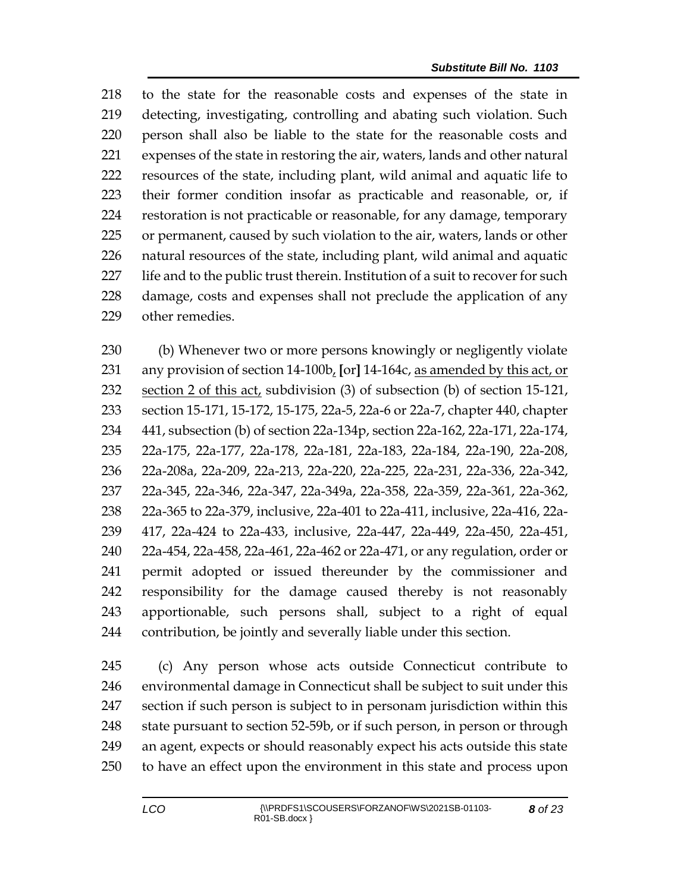to the state for the reasonable costs and expenses of the state in detecting, investigating, controlling and abating such violation. Such person shall also be liable to the state for the reasonable costs and expenses of the state in restoring the air, waters, lands and other natural resources of the state, including plant, wild animal and aquatic life to their former condition insofar as practicable and reasonable, or, if restoration is not practicable or reasonable, for any damage, temporary or permanent, caused by such violation to the air, waters, lands or other natural resources of the state, including plant, wild animal and aquatic life and to the public trust therein. Institution of a suit to recover for such damage, costs and expenses shall not preclude the application of any other remedies.

 (b) Whenever two or more persons knowingly or negligently violate any provision of section 14-100b, **[**or**]** 14-164c, as amended by this act, or section 2 of this act, subdivision (3) of subsection (b) of section 15-121, section 15-171, 15-172, 15-175, 22a-5, 22a-6 or 22a-7, chapter 440, chapter 441, subsection (b) of section 22a-134p, section 22a-162, 22a-171, 22a-174, 22a-175, 22a-177, 22a-178, 22a-181, 22a-183, 22a-184, 22a-190, 22a-208, 22a-208a, 22a-209, 22a-213, 22a-220, 22a-225, 22a-231, 22a-336, 22a-342, 22a-345, 22a-346, 22a-347, 22a-349a, 22a-358, 22a-359, 22a-361, 22a-362, 22a-365 to 22a-379, inclusive, 22a-401 to 22a-411, inclusive, 22a-416, 22a- 417, 22a-424 to 22a-433, inclusive, 22a-447, 22a-449, 22a-450, 22a-451, 22a-454, 22a-458, 22a-461, 22a-462 or 22a-471, or any regulation, order or permit adopted or issued thereunder by the commissioner and responsibility for the damage caused thereby is not reasonably apportionable, such persons shall, subject to a right of equal contribution, be jointly and severally liable under this section.

 (c) Any person whose acts outside Connecticut contribute to environmental damage in Connecticut shall be subject to suit under this section if such person is subject to in personam jurisdiction within this 248 state pursuant to section 52-59b, or if such person, in person or through an agent, expects or should reasonably expect his acts outside this state to have an effect upon the environment in this state and process upon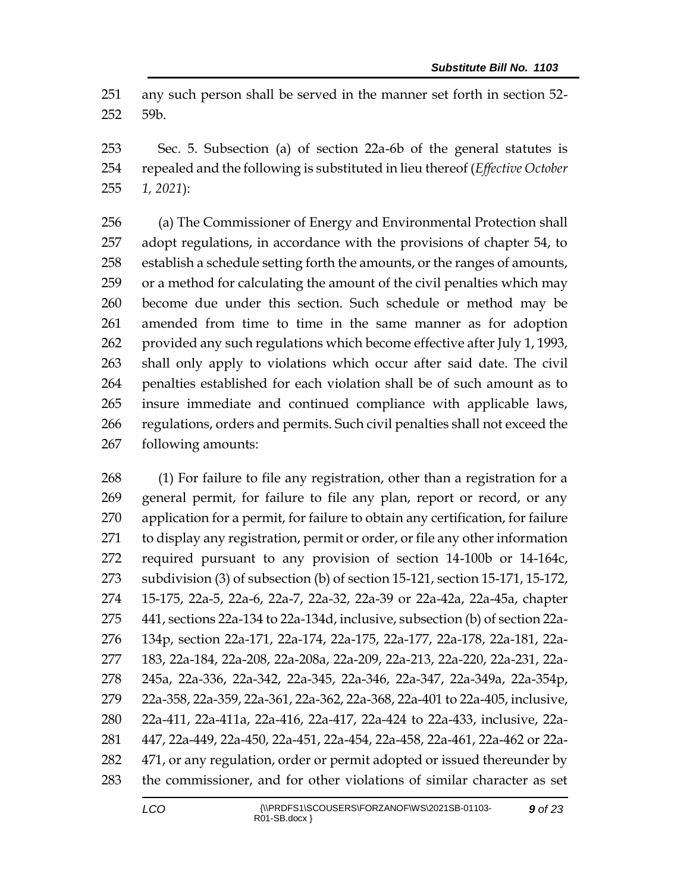any such person shall be served in the manner set forth in section 52- 59b.

 Sec. 5. Subsection (a) of section 22a-6b of the general statutes is repealed and the following is substituted in lieu thereof (*Effective October 1, 2021*):

 (a) The Commissioner of Energy and Environmental Protection shall adopt regulations, in accordance with the provisions of chapter 54, to establish a schedule setting forth the amounts, or the ranges of amounts, or a method for calculating the amount of the civil penalties which may become due under this section. Such schedule or method may be amended from time to time in the same manner as for adoption provided any such regulations which become effective after July 1, 1993, shall only apply to violations which occur after said date. The civil penalties established for each violation shall be of such amount as to insure immediate and continued compliance with applicable laws, regulations, orders and permits. Such civil penalties shall not exceed the following amounts:

 (1) For failure to file any registration, other than a registration for a general permit, for failure to file any plan, report or record, or any application for a permit, for failure to obtain any certification, for failure to display any registration, permit or order, or file any other information required pursuant to any provision of section 14-100b or 14-164c, subdivision (3) of subsection (b) of section 15-121, section 15-171, 15-172, 15-175, 22a-5, 22a-6, 22a-7, 22a-32, 22a-39 or 22a-42a, 22a-45a, chapter 441, sections 22a-134 to 22a-134d, inclusive, subsection (b) of section 22a- 134p, section 22a-171, 22a-174, 22a-175, 22a-177, 22a-178, 22a-181, 22a- 183, 22a-184, 22a-208, 22a-208a, 22a-209, 22a-213, 22a-220, 22a-231, 22a- 245a, 22a-336, 22a-342, 22a-345, 22a-346, 22a-347, 22a-349a, 22a-354p, 22a-358, 22a-359, 22a-361, 22a-362, 22a-368, 22a-401 to 22a-405, inclusive, 22a-411, 22a-411a, 22a-416, 22a-417, 22a-424 to 22a-433, inclusive, 22a- 447, 22a-449, 22a-450, 22a-451, 22a-454, 22a-458, 22a-461, 22a-462 or 22a-282 471, or any regulation, order or permit adopted or issued thereunder by the commissioner, and for other violations of similar character as set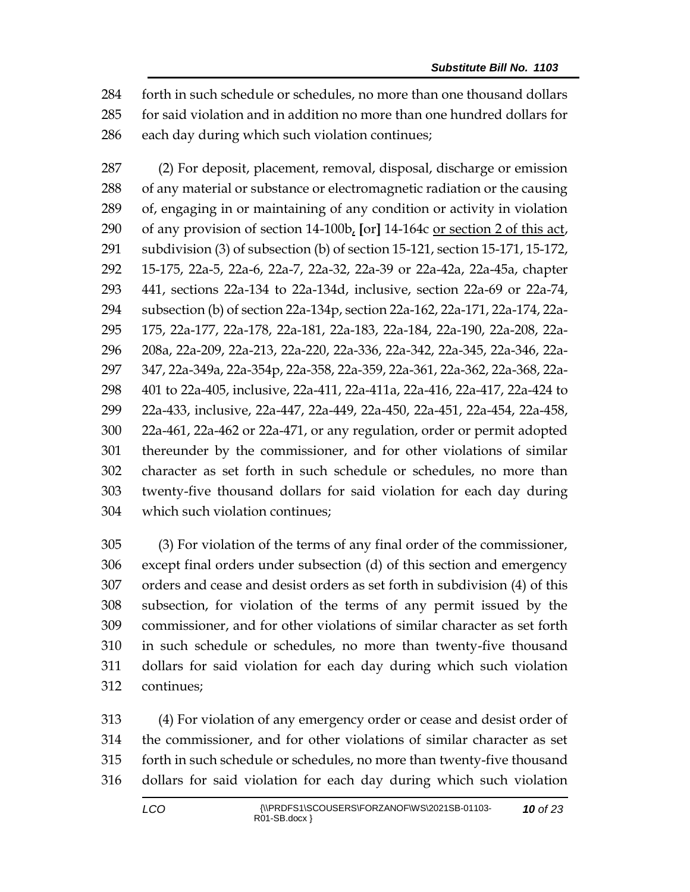forth in such schedule or schedules, no more than one thousand dollars for said violation and in addition no more than one hundred dollars for each day during which such violation continues;

 (2) For deposit, placement, removal, disposal, discharge or emission of any material or substance or electromagnetic radiation or the causing of, engaging in or maintaining of any condition or activity in violation of any provision of section 14-100b, **[**or**]** 14-164c or section 2 of this act, subdivision (3) of subsection (b) of section 15-121, section 15-171, 15-172, 15-175, 22a-5, 22a-6, 22a-7, 22a-32, 22a-39 or 22a-42a, 22a-45a, chapter 441, sections 22a-134 to 22a-134d, inclusive, section 22a-69 or 22a-74, subsection (b) of section 22a-134p, section 22a-162, 22a-171, 22a-174, 22a- 175, 22a-177, 22a-178, 22a-181, 22a-183, 22a-184, 22a-190, 22a-208, 22a- 208a, 22a-209, 22a-213, 22a-220, 22a-336, 22a-342, 22a-345, 22a-346, 22a- 347, 22a-349a, 22a-354p, 22a-358, 22a-359, 22a-361, 22a-362, 22a-368, 22a- 401 to 22a-405, inclusive, 22a-411, 22a-411a, 22a-416, 22a-417, 22a-424 to 22a-433, inclusive, 22a-447, 22a-449, 22a-450, 22a-451, 22a-454, 22a-458, 22a-461, 22a-462 or 22a-471, or any regulation, order or permit adopted thereunder by the commissioner, and for other violations of similar character as set forth in such schedule or schedules, no more than twenty-five thousand dollars for said violation for each day during which such violation continues;

 (3) For violation of the terms of any final order of the commissioner, except final orders under subsection (d) of this section and emergency orders and cease and desist orders as set forth in subdivision (4) of this subsection, for violation of the terms of any permit issued by the commissioner, and for other violations of similar character as set forth in such schedule or schedules, no more than twenty-five thousand dollars for said violation for each day during which such violation continues;

 (4) For violation of any emergency order or cease and desist order of the commissioner, and for other violations of similar character as set forth in such schedule or schedules, no more than twenty-five thousand dollars for said violation for each day during which such violation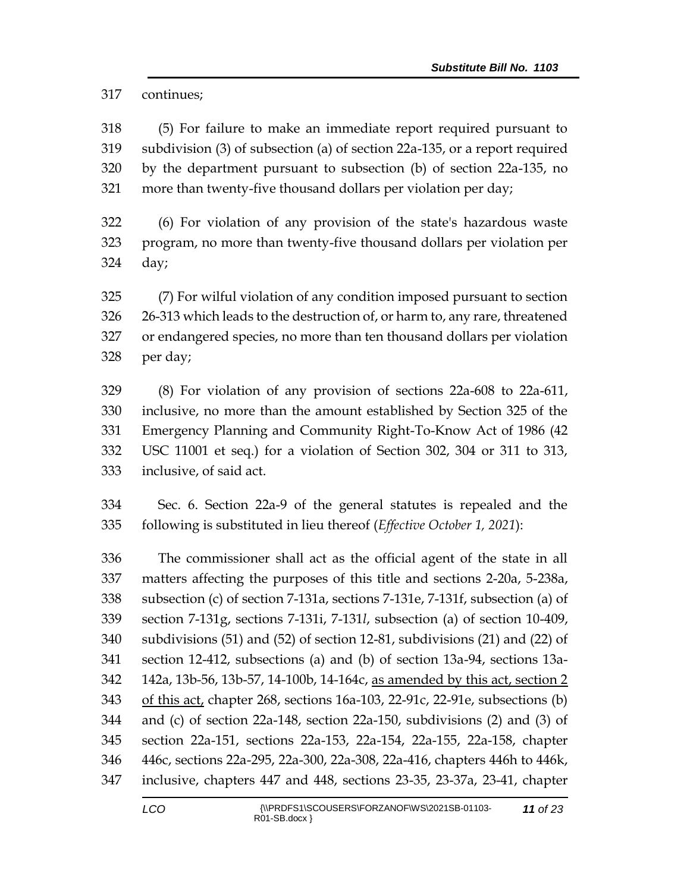continues;

 (5) For failure to make an immediate report required pursuant to subdivision (3) of subsection (a) of section 22a-135, or a report required by the department pursuant to subsection (b) of section 22a-135, no more than twenty-five thousand dollars per violation per day;

 (6) For violation of any provision of the state's hazardous waste program, no more than twenty-five thousand dollars per violation per day;

 (7) For wilful violation of any condition imposed pursuant to section 26-313 which leads to the destruction of, or harm to, any rare, threatened or endangered species, no more than ten thousand dollars per violation per day;

 (8) For violation of any provision of sections 22a-608 to 22a-611, inclusive, no more than the amount established by Section 325 of the Emergency Planning and Community Right-To-Know Act of 1986 (42 USC 11001 et seq.) for a violation of Section 302, 304 or 311 to 313, inclusive, of said act.

 Sec. 6. Section 22a-9 of the general statutes is repealed and the following is substituted in lieu thereof (*Effective October 1, 2021*):

 The commissioner shall act as the official agent of the state in all matters affecting the purposes of this title and sections 2-20a, 5-238a, subsection (c) of section 7-131a, sections 7-131e, 7-131f, subsection (a) of section 7-131g, sections 7-131i, 7-131*l*, subsection (a) of section 10-409, subdivisions (51) and (52) of section 12-81, subdivisions (21) and (22) of section 12-412, subsections (a) and (b) of section 13a-94, sections 13a- 142a, 13b-56, 13b-57, 14-100b, 14-164c, as amended by this act, section 2 of this act, chapter 268, sections 16a-103, 22-91c, 22-91e, subsections (b) and (c) of section 22a-148, section 22a-150, subdivisions (2) and (3) of section 22a-151, sections 22a-153, 22a-154, 22a-155, 22a-158, chapter 446c, sections 22a-295, 22a-300, 22a-308, 22a-416, chapters 446h to 446k, inclusive, chapters 447 and 448, sections 23-35, 23-37a, 23-41, chapter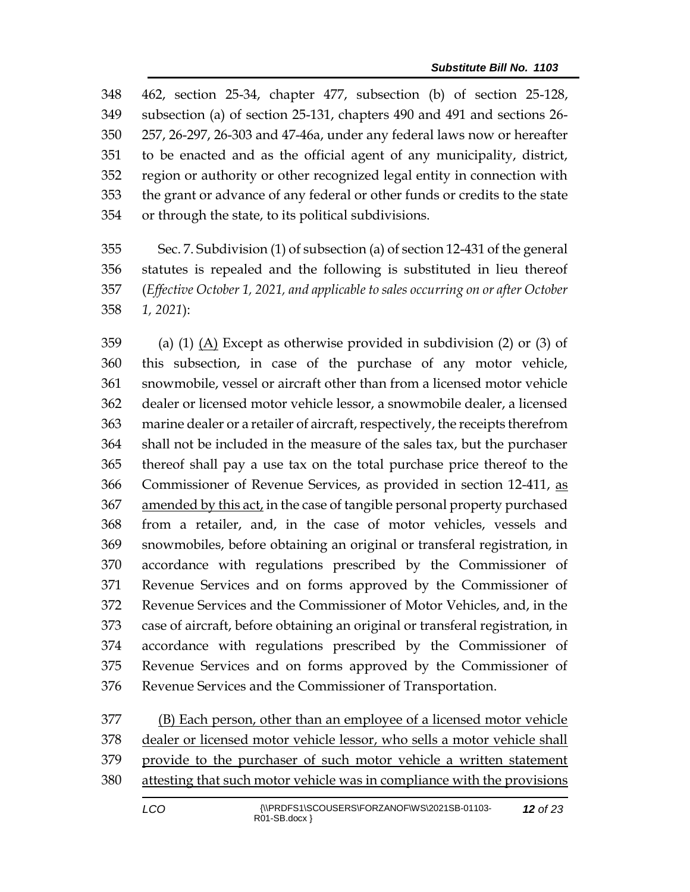462, section 25-34, chapter 477, subsection (b) of section 25-128, subsection (a) of section 25-131, chapters 490 and 491 and sections 26- 257, 26-297, 26-303 and 47-46a, under any federal laws now or hereafter to be enacted and as the official agent of any municipality, district, region or authority or other recognized legal entity in connection with the grant or advance of any federal or other funds or credits to the state or through the state, to its political subdivisions.

 Sec. 7. Subdivision (1) of subsection (a) of section 12-431 of the general statutes is repealed and the following is substituted in lieu thereof (*Effective October 1, 2021, and applicable to sales occurring on or after October 1, 2021*):

 (a) (1) (A) Except as otherwise provided in subdivision (2) or (3) of this subsection, in case of the purchase of any motor vehicle, snowmobile, vessel or aircraft other than from a licensed motor vehicle dealer or licensed motor vehicle lessor, a snowmobile dealer, a licensed marine dealer or a retailer of aircraft, respectively, the receipts therefrom shall not be included in the measure of the sales tax, but the purchaser thereof shall pay a use tax on the total purchase price thereof to the Commissioner of Revenue Services, as provided in section 12-411, as 367 amended by this act, in the case of tangible personal property purchased from a retailer, and, in the case of motor vehicles, vessels and snowmobiles, before obtaining an original or transferal registration, in accordance with regulations prescribed by the Commissioner of Revenue Services and on forms approved by the Commissioner of Revenue Services and the Commissioner of Motor Vehicles, and, in the case of aircraft, before obtaining an original or transferal registration, in accordance with regulations prescribed by the Commissioner of Revenue Services and on forms approved by the Commissioner of Revenue Services and the Commissioner of Transportation.

 (B) Each person, other than an employee of a licensed motor vehicle dealer or licensed motor vehicle lessor, who sells a motor vehicle shall provide to the purchaser of such motor vehicle a written statement attesting that such motor vehicle was in compliance with the provisions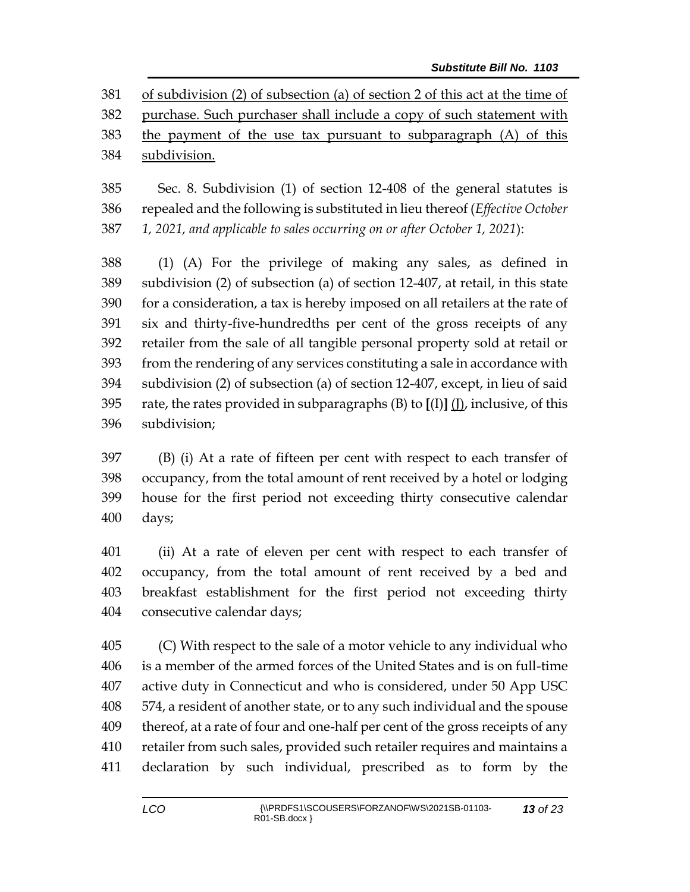381 of subdivision (2) of subsection (a) of section 2 of this act at the time of purchase. Such purchaser shall include a copy of such statement with the payment of the use tax pursuant to subparagraph (A) of this subdivision.

 Sec. 8. Subdivision (1) of section 12-408 of the general statutes is repealed and the following is substituted in lieu thereof (*Effective October 1, 2021, and applicable to sales occurring on or after October 1, 2021*):

 (1) (A) For the privilege of making any sales, as defined in subdivision (2) of subsection (a) of section 12-407, at retail, in this state for a consideration, a tax is hereby imposed on all retailers at the rate of six and thirty-five-hundredths per cent of the gross receipts of any retailer from the sale of all tangible personal property sold at retail or from the rendering of any services constituting a sale in accordance with subdivision (2) of subsection (a) of section 12-407, except, in lieu of said rate, the rates provided in subparagraphs (B) to **[**(I)**]** (J), inclusive, of this subdivision;

 (B) (i) At a rate of fifteen per cent with respect to each transfer of occupancy, from the total amount of rent received by a hotel or lodging house for the first period not exceeding thirty consecutive calendar days;

 (ii) At a rate of eleven per cent with respect to each transfer of occupancy, from the total amount of rent received by a bed and breakfast establishment for the first period not exceeding thirty consecutive calendar days;

 (C) With respect to the sale of a motor vehicle to any individual who is a member of the armed forces of the United States and is on full-time active duty in Connecticut and who is considered, under 50 App USC 574, a resident of another state, or to any such individual and the spouse thereof, at a rate of four and one-half per cent of the gross receipts of any retailer from such sales, provided such retailer requires and maintains a declaration by such individual, prescribed as to form by the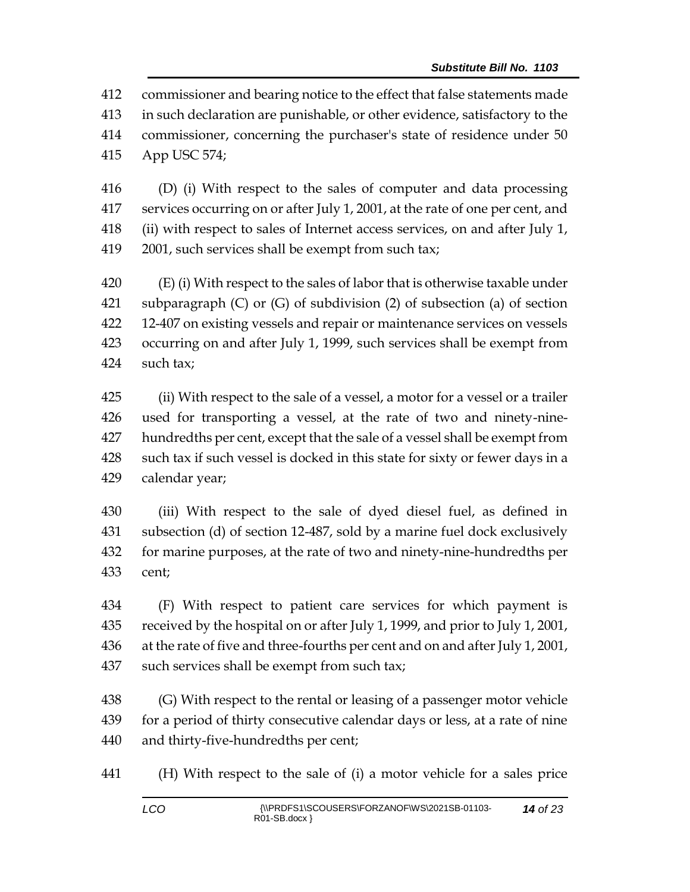commissioner and bearing notice to the effect that false statements made in such declaration are punishable, or other evidence, satisfactory to the commissioner, concerning the purchaser's state of residence under 50 App USC 574;

 (D) (i) With respect to the sales of computer and data processing services occurring on or after July 1, 2001, at the rate of one per cent, and (ii) with respect to sales of Internet access services, on and after July 1, 2001, such services shall be exempt from such tax;

 (E) (i) With respect to the sales of labor that is otherwise taxable under subparagraph (C) or (G) of subdivision (2) of subsection (a) of section 12-407 on existing vessels and repair or maintenance services on vessels occurring on and after July 1, 1999, such services shall be exempt from such tax;

 (ii) With respect to the sale of a vessel, a motor for a vessel or a trailer used for transporting a vessel, at the rate of two and ninety-nine- hundredths per cent, except that the sale of a vessel shall be exempt from such tax if such vessel is docked in this state for sixty or fewer days in a calendar year;

 (iii) With respect to the sale of dyed diesel fuel, as defined in subsection (d) of section 12-487, sold by a marine fuel dock exclusively for marine purposes, at the rate of two and ninety-nine-hundredths per cent;

 (F) With respect to patient care services for which payment is received by the hospital on or after July 1, 1999, and prior to July 1, 2001, at the rate of five and three-fourths per cent and on and after July 1, 2001, such services shall be exempt from such tax;

 (G) With respect to the rental or leasing of a passenger motor vehicle for a period of thirty consecutive calendar days or less, at a rate of nine and thirty-five-hundredths per cent;

(H) With respect to the sale of (i) a motor vehicle for a sales price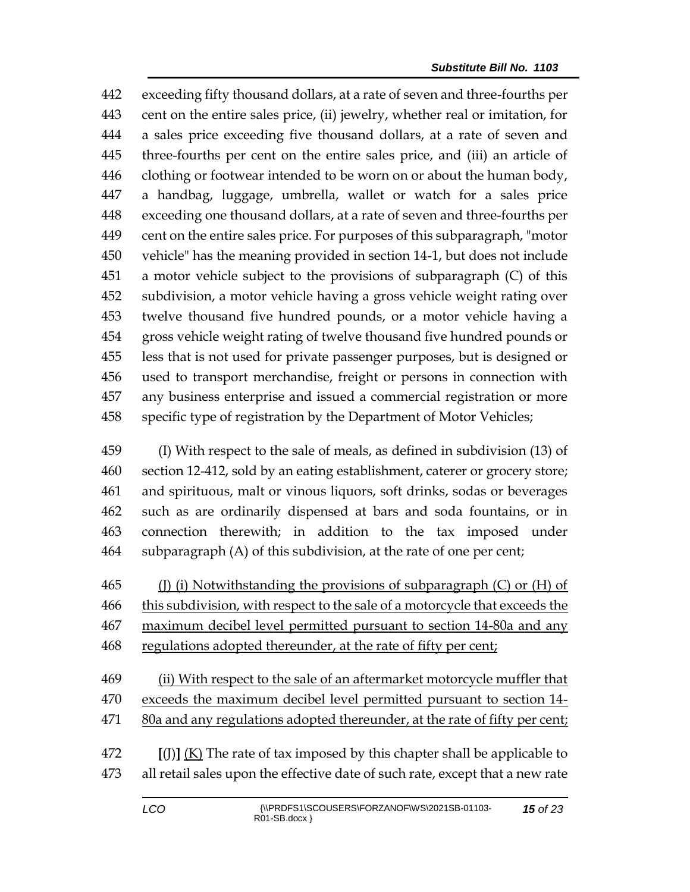exceeding fifty thousand dollars, at a rate of seven and three-fourths per cent on the entire sales price, (ii) jewelry, whether real or imitation, for a sales price exceeding five thousand dollars, at a rate of seven and three-fourths per cent on the entire sales price, and (iii) an article of clothing or footwear intended to be worn on or about the human body, a handbag, luggage, umbrella, wallet or watch for a sales price exceeding one thousand dollars, at a rate of seven and three-fourths per cent on the entire sales price. For purposes of this subparagraph, "motor vehicle" has the meaning provided in section 14-1, but does not include a motor vehicle subject to the provisions of subparagraph (C) of this subdivision, a motor vehicle having a gross vehicle weight rating over twelve thousand five hundred pounds, or a motor vehicle having a gross vehicle weight rating of twelve thousand five hundred pounds or less that is not used for private passenger purposes, but is designed or used to transport merchandise, freight or persons in connection with any business enterprise and issued a commercial registration or more specific type of registration by the Department of Motor Vehicles;

 (I) With respect to the sale of meals, as defined in subdivision (13) of section 12-412, sold by an eating establishment, caterer or grocery store; and spirituous, malt or vinous liquors, soft drinks, sodas or beverages such as are ordinarily dispensed at bars and soda fountains, or in connection therewith; in addition to the tax imposed under subparagraph (A) of this subdivision, at the rate of one per cent;

465 (J) (i) Notwithstanding the provisions of subparagraph  $(C)$  or  $(H)$  of this subdivision, with respect to the sale of a motorcycle that exceeds the maximum decibel level permitted pursuant to section 14-80a and any 468 regulations adopted thereunder, at the rate of fifty per cent;

- (ii) With respect to the sale of an aftermarket motorcycle muffler that exceeds the maximum decibel level permitted pursuant to section 14- 80a and any regulations adopted thereunder, at the rate of fifty per cent;
- **[**(J)**]** (K) The rate of tax imposed by this chapter shall be applicable to all retail sales upon the effective date of such rate, except that a new rate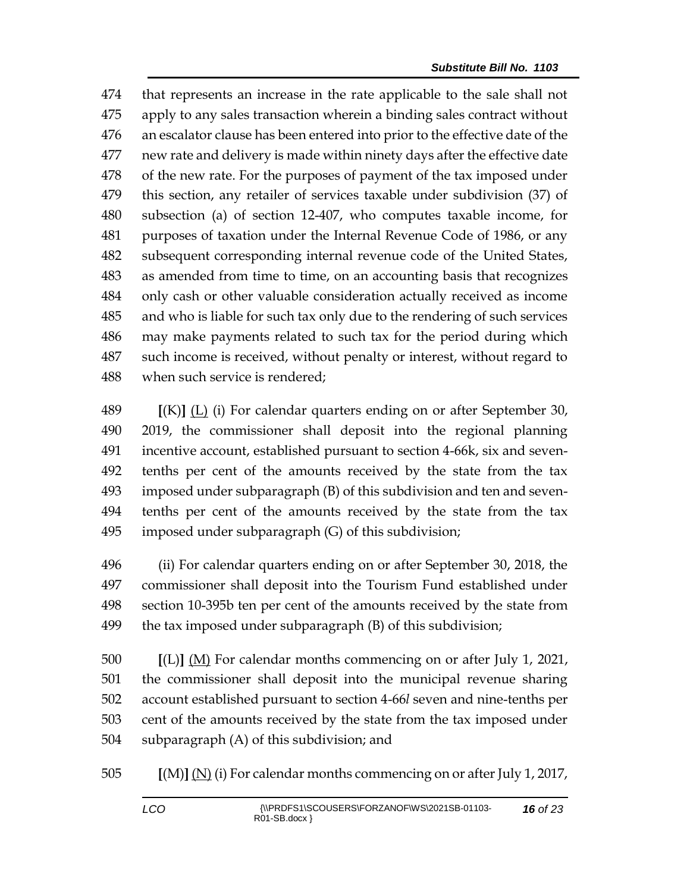that represents an increase in the rate applicable to the sale shall not apply to any sales transaction wherein a binding sales contract without an escalator clause has been entered into prior to the effective date of the new rate and delivery is made within ninety days after the effective date of the new rate. For the purposes of payment of the tax imposed under this section, any retailer of services taxable under subdivision (37) of subsection (a) of section 12-407, who computes taxable income, for purposes of taxation under the Internal Revenue Code of 1986, or any subsequent corresponding internal revenue code of the United States, as amended from time to time, on an accounting basis that recognizes only cash or other valuable consideration actually received as income and who is liable for such tax only due to the rendering of such services may make payments related to such tax for the period during which such income is received, without penalty or interest, without regard to when such service is rendered;

 **[**(K)**]** (L) (i) For calendar quarters ending on or after September 30, 2019, the commissioner shall deposit into the regional planning incentive account, established pursuant to section 4-66k, six and seven- tenths per cent of the amounts received by the state from the tax imposed under subparagraph (B) of this subdivision and ten and seven- tenths per cent of the amounts received by the state from the tax imposed under subparagraph (G) of this subdivision;

 (ii) For calendar quarters ending on or after September 30, 2018, the commissioner shall deposit into the Tourism Fund established under section 10-395b ten per cent of the amounts received by the state from the tax imposed under subparagraph (B) of this subdivision;

 **[**(L)**]** (M) For calendar months commencing on or after July 1, 2021, the commissioner shall deposit into the municipal revenue sharing account established pursuant to section 4-66*l* seven and nine-tenths per cent of the amounts received by the state from the tax imposed under subparagraph (A) of this subdivision; and

**[**(M)**]** (N) (i) For calendar months commencing on or after July 1, 2017,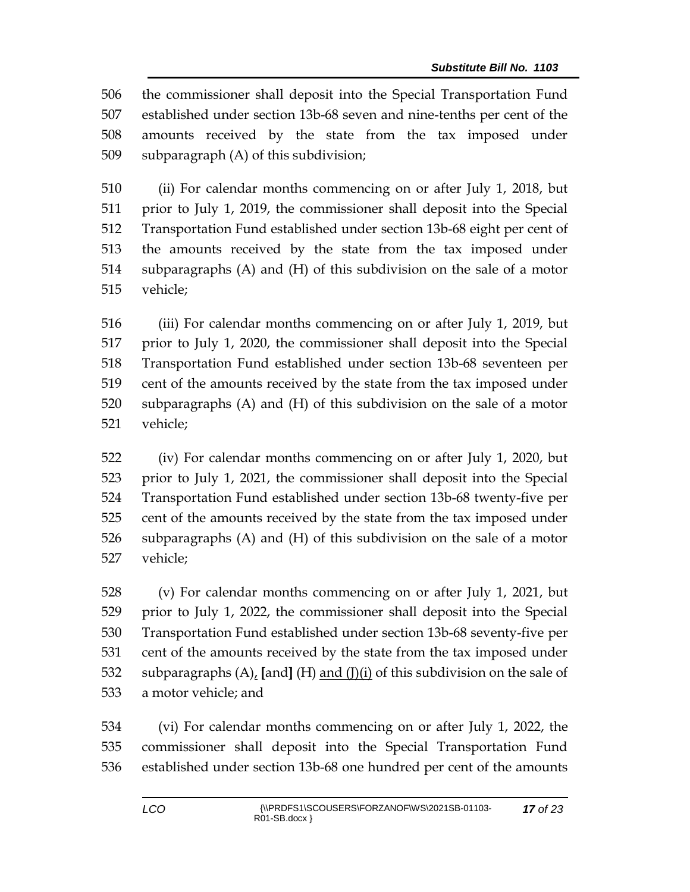the commissioner shall deposit into the Special Transportation Fund established under section 13b-68 seven and nine-tenths per cent of the amounts received by the state from the tax imposed under subparagraph (A) of this subdivision;

 (ii) For calendar months commencing on or after July 1, 2018, but prior to July 1, 2019, the commissioner shall deposit into the Special Transportation Fund established under section 13b-68 eight per cent of the amounts received by the state from the tax imposed under subparagraphs (A) and (H) of this subdivision on the sale of a motor vehicle;

 (iii) For calendar months commencing on or after July 1, 2019, but prior to July 1, 2020, the commissioner shall deposit into the Special Transportation Fund established under section 13b-68 seventeen per cent of the amounts received by the state from the tax imposed under subparagraphs (A) and (H) of this subdivision on the sale of a motor vehicle;

 (iv) For calendar months commencing on or after July 1, 2020, but prior to July 1, 2021, the commissioner shall deposit into the Special Transportation Fund established under section 13b-68 twenty-five per cent of the amounts received by the state from the tax imposed under subparagraphs (A) and (H) of this subdivision on the sale of a motor vehicle;

 (v) For calendar months commencing on or after July 1, 2021, but prior to July 1, 2022, the commissioner shall deposit into the Special Transportation Fund established under section 13b-68 seventy-five per cent of the amounts received by the state from the tax imposed under subparagraphs (A), **[**and**]** (H) and (J)(i) of this subdivision on the sale of a motor vehicle; and

 (vi) For calendar months commencing on or after July 1, 2022, the commissioner shall deposit into the Special Transportation Fund established under section 13b-68 one hundred per cent of the amounts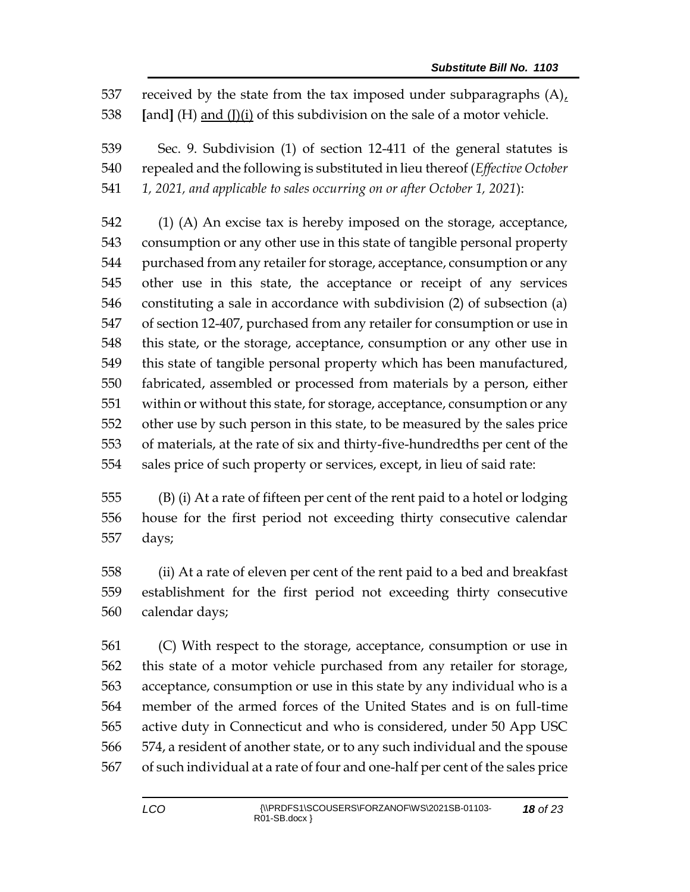received by the state from the tax imposed under subparagraphs (A), **[**and**]** (H) and (J)(i) of this subdivision on the sale of a motor vehicle.

 Sec. 9. Subdivision (1) of section 12-411 of the general statutes is repealed and the following is substituted in lieu thereof (*Effective October 1, 2021, and applicable to sales occurring on or after October 1, 2021*):

 (1) (A) An excise tax is hereby imposed on the storage, acceptance, consumption or any other use in this state of tangible personal property purchased from any retailer for storage, acceptance, consumption or any other use in this state, the acceptance or receipt of any services constituting a sale in accordance with subdivision (2) of subsection (a) of section 12-407, purchased from any retailer for consumption or use in this state, or the storage, acceptance, consumption or any other use in this state of tangible personal property which has been manufactured, fabricated, assembled or processed from materials by a person, either within or without this state, for storage, acceptance, consumption or any other use by such person in this state, to be measured by the sales price of materials, at the rate of six and thirty-five-hundredths per cent of the sales price of such property or services, except, in lieu of said rate:

 (B) (i) At a rate of fifteen per cent of the rent paid to a hotel or lodging house for the first period not exceeding thirty consecutive calendar days;

 (ii) At a rate of eleven per cent of the rent paid to a bed and breakfast establishment for the first period not exceeding thirty consecutive calendar days;

 (C) With respect to the storage, acceptance, consumption or use in this state of a motor vehicle purchased from any retailer for storage, acceptance, consumption or use in this state by any individual who is a member of the armed forces of the United States and is on full-time active duty in Connecticut and who is considered, under 50 App USC 574, a resident of another state, or to any such individual and the spouse of such individual at a rate of four and one-half per cent of the sales price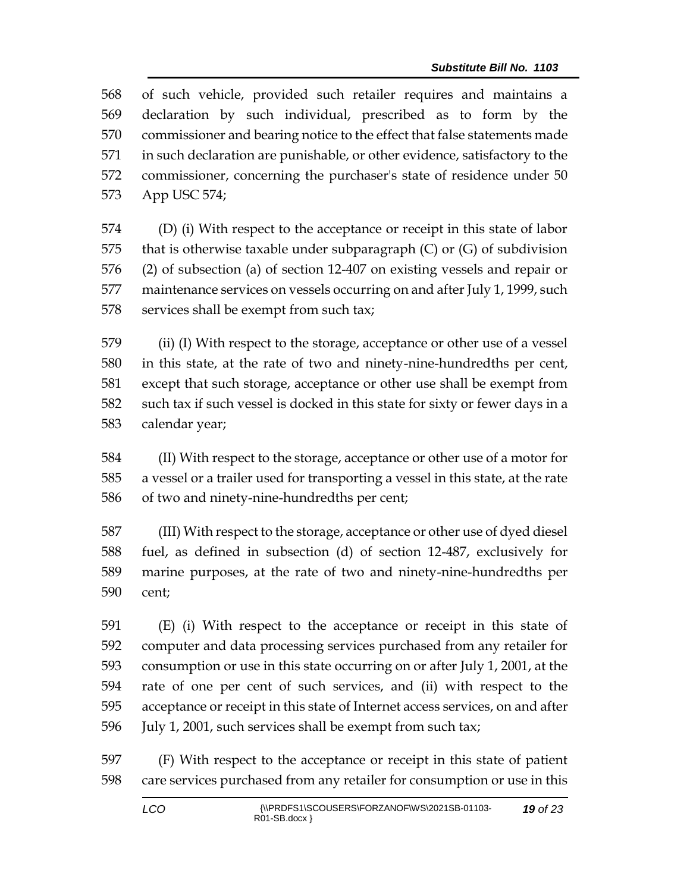of such vehicle, provided such retailer requires and maintains a declaration by such individual, prescribed as to form by the commissioner and bearing notice to the effect that false statements made in such declaration are punishable, or other evidence, satisfactory to the commissioner, concerning the purchaser's state of residence under 50 App USC 574;

 (D) (i) With respect to the acceptance or receipt in this state of labor 575 that is otherwise taxable under subparagraph  $(C)$  or  $(G)$  of subdivision (2) of subsection (a) of section 12-407 on existing vessels and repair or maintenance services on vessels occurring on and after July 1, 1999, such 578 services shall be exempt from such tax;

 (ii) (I) With respect to the storage, acceptance or other use of a vessel in this state, at the rate of two and ninety-nine-hundredths per cent, except that such storage, acceptance or other use shall be exempt from such tax if such vessel is docked in this state for sixty or fewer days in a calendar year;

 (II) With respect to the storage, acceptance or other use of a motor for a vessel or a trailer used for transporting a vessel in this state, at the rate of two and ninety-nine-hundredths per cent;

 (III) With respect to the storage, acceptance or other use of dyed diesel fuel, as defined in subsection (d) of section 12-487, exclusively for marine purposes, at the rate of two and ninety-nine-hundredths per cent;

 (E) (i) With respect to the acceptance or receipt in this state of computer and data processing services purchased from any retailer for consumption or use in this state occurring on or after July 1, 2001, at the rate of one per cent of such services, and (ii) with respect to the acceptance or receipt in this state of Internet access services, on and after July 1, 2001, such services shall be exempt from such tax;

 (F) With respect to the acceptance or receipt in this state of patient care services purchased from any retailer for consumption or use in this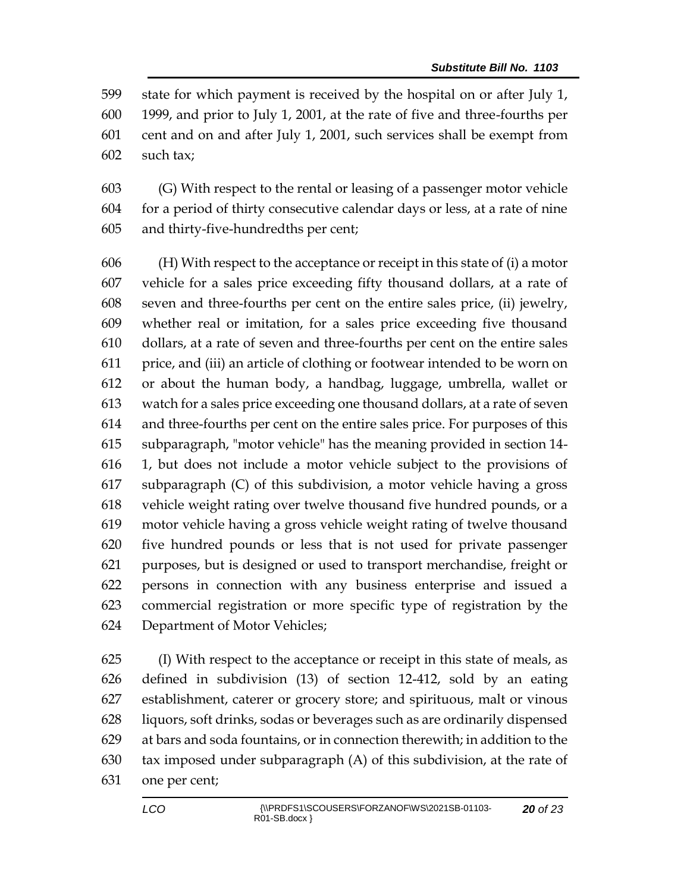state for which payment is received by the hospital on or after July 1, 1999, and prior to July 1, 2001, at the rate of five and three-fourths per cent and on and after July 1, 2001, such services shall be exempt from such tax;

 (G) With respect to the rental or leasing of a passenger motor vehicle for a period of thirty consecutive calendar days or less, at a rate of nine and thirty-five-hundredths per cent;

 (H) With respect to the acceptance or receipt in this state of (i) a motor vehicle for a sales price exceeding fifty thousand dollars, at a rate of seven and three-fourths per cent on the entire sales price, (ii) jewelry, whether real or imitation, for a sales price exceeding five thousand dollars, at a rate of seven and three-fourths per cent on the entire sales price, and (iii) an article of clothing or footwear intended to be worn on or about the human body, a handbag, luggage, umbrella, wallet or watch for a sales price exceeding one thousand dollars, at a rate of seven and three-fourths per cent on the entire sales price. For purposes of this subparagraph, "motor vehicle" has the meaning provided in section 14- 1, but does not include a motor vehicle subject to the provisions of subparagraph (C) of this subdivision, a motor vehicle having a gross vehicle weight rating over twelve thousand five hundred pounds, or a motor vehicle having a gross vehicle weight rating of twelve thousand five hundred pounds or less that is not used for private passenger purposes, but is designed or used to transport merchandise, freight or persons in connection with any business enterprise and issued a commercial registration or more specific type of registration by the Department of Motor Vehicles;

 (I) With respect to the acceptance or receipt in this state of meals, as defined in subdivision (13) of section 12-412, sold by an eating establishment, caterer or grocery store; and spirituous, malt or vinous liquors, soft drinks, sodas or beverages such as are ordinarily dispensed at bars and soda fountains, or in connection therewith; in addition to the tax imposed under subparagraph (A) of this subdivision, at the rate of one per cent;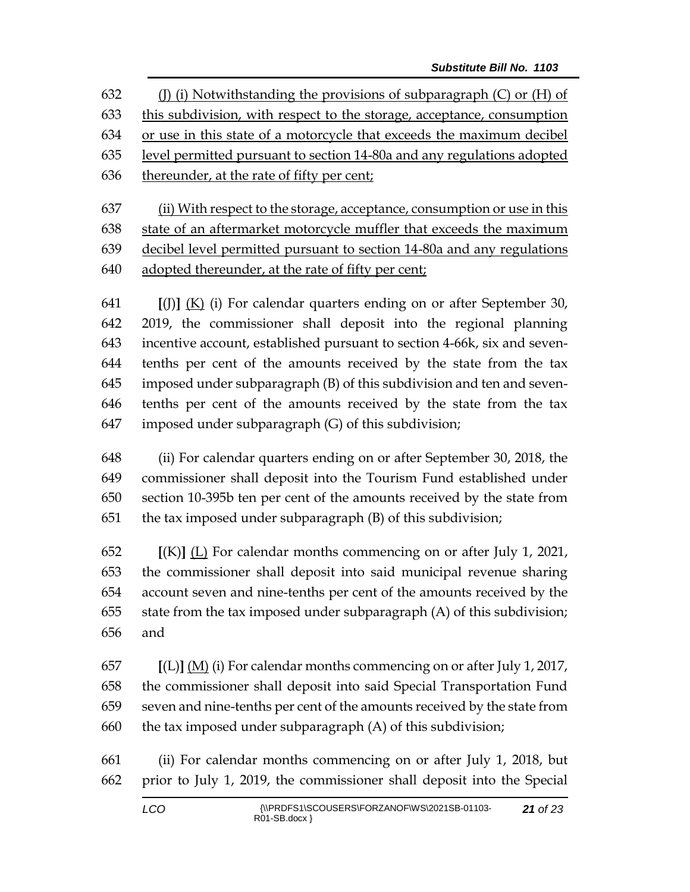632 (J) (i) Notwithstanding the provisions of subparagraph  $(C)$  or  $(H)$  of this subdivision, with respect to the storage, acceptance, consumption or use in this state of a motorcycle that exceeds the maximum decibel level permitted pursuant to section 14-80a and any regulations adopted thereunder, at the rate of fifty per cent;

 (ii) With respect to the storage, acceptance, consumption or use in this state of an aftermarket motorcycle muffler that exceeds the maximum decibel level permitted pursuant to section 14-80a and any regulations adopted thereunder, at the rate of fifty per cent;

 **[**(J)**]** (K) (i) For calendar quarters ending on or after September 30, 2019, the commissioner shall deposit into the regional planning incentive account, established pursuant to section 4-66k, six and seven- tenths per cent of the amounts received by the state from the tax imposed under subparagraph (B) of this subdivision and ten and seven- tenths per cent of the amounts received by the state from the tax imposed under subparagraph (G) of this subdivision;

 (ii) For calendar quarters ending on or after September 30, 2018, the commissioner shall deposit into the Tourism Fund established under section 10-395b ten per cent of the amounts received by the state from the tax imposed under subparagraph (B) of this subdivision;

 **[**(K)**]** (L) For calendar months commencing on or after July 1, 2021, the commissioner shall deposit into said municipal revenue sharing account seven and nine-tenths per cent of the amounts received by the state from the tax imposed under subparagraph (A) of this subdivision; and

 **[**(L)**]** (M) (i) For calendar months commencing on or after July 1, 2017, the commissioner shall deposit into said Special Transportation Fund seven and nine-tenths per cent of the amounts received by the state from 660 the tax imposed under subparagraph  $(A)$  of this subdivision;

 (ii) For calendar months commencing on or after July 1, 2018, but prior to July 1, 2019, the commissioner shall deposit into the Special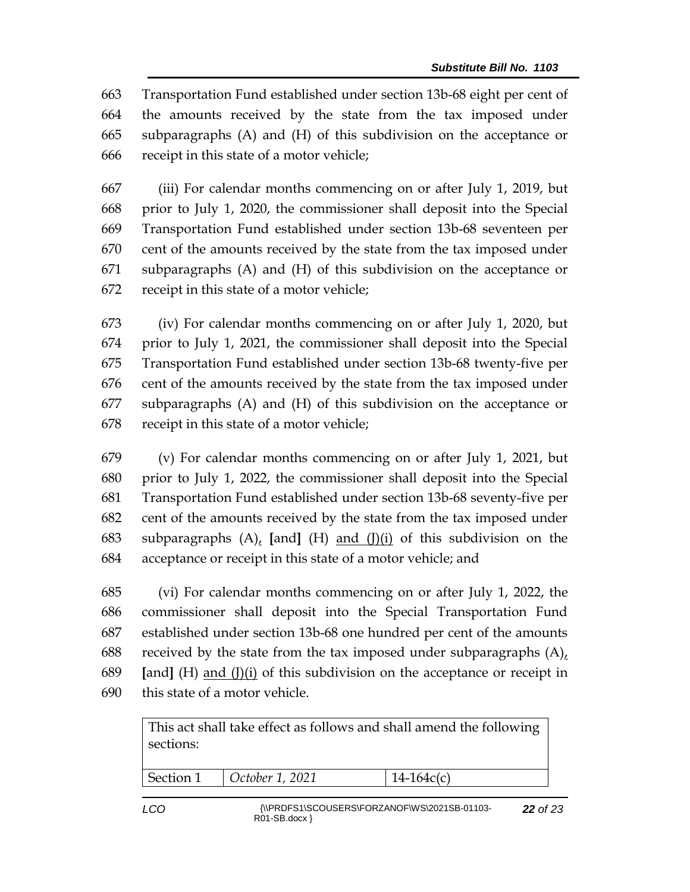Transportation Fund established under section 13b-68 eight per cent of the amounts received by the state from the tax imposed under subparagraphs (A) and (H) of this subdivision on the acceptance or receipt in this state of a motor vehicle;

 (iii) For calendar months commencing on or after July 1, 2019, but prior to July 1, 2020, the commissioner shall deposit into the Special Transportation Fund established under section 13b-68 seventeen per cent of the amounts received by the state from the tax imposed under subparagraphs (A) and (H) of this subdivision on the acceptance or receipt in this state of a motor vehicle;

 (iv) For calendar months commencing on or after July 1, 2020, but prior to July 1, 2021, the commissioner shall deposit into the Special Transportation Fund established under section 13b-68 twenty-five per cent of the amounts received by the state from the tax imposed under subparagraphs (A) and (H) of this subdivision on the acceptance or receipt in this state of a motor vehicle;

 (v) For calendar months commencing on or after July 1, 2021, but prior to July 1, 2022, the commissioner shall deposit into the Special Transportation Fund established under section 13b-68 seventy-five per cent of the amounts received by the state from the tax imposed under subparagraphs (A), **[**and**]** (H) and (J)(i) of this subdivision on the acceptance or receipt in this state of a motor vehicle; and

 (vi) For calendar months commencing on or after July 1, 2022, the commissioner shall deposit into the Special Transportation Fund established under section 13b-68 one hundred per cent of the amounts received by the state from the tax imposed under subparagraphs (A), **[**and**]** (H) and (J)(i) of this subdivision on the acceptance or receipt in this state of a motor vehicle.

This act shall take effect as follows and shall amend the following sections:

Section 1 *October 1, 2021* 14-164c(c)